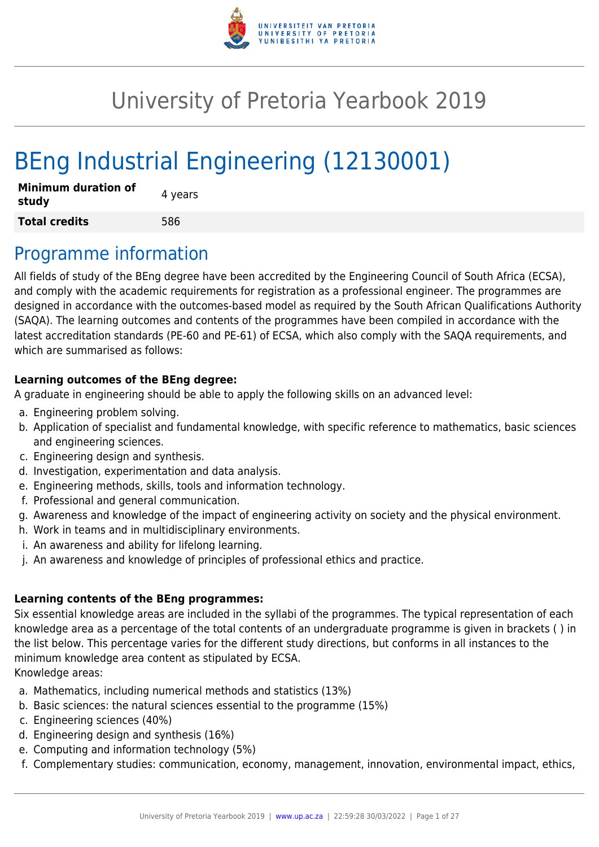

# University of Pretoria Yearbook 2019

# BEng Industrial Engineering (12130001)

| <b>Minimum duration of</b><br>study | 4 years |
|-------------------------------------|---------|
| <b>Total credits</b>                | 586     |

## Programme information

All fields of study of the BEng degree have been accredited by the Engineering Council of South Africa (ECSA), and comply with the academic requirements for registration as a professional engineer. The programmes are designed in accordance with the outcomes-based model as required by the South African Qualifications Authority (SAQA). The learning outcomes and contents of the programmes have been compiled in accordance with the latest accreditation standards (PE-60 and PE-61) of ECSA, which also comply with the SAQA requirements, and which are summarised as follows:

### **Learning outcomes of the BEng degree:**

A graduate in engineering should be able to apply the following skills on an advanced level:

- a. Engineering problem solving.
- b. Application of specialist and fundamental knowledge, with specific reference to mathematics, basic sciences and engineering sciences.
- c. Engineering design and synthesis.
- d. Investigation, experimentation and data analysis.
- e. Engineering methods, skills, tools and information technology.
- f. Professional and general communication.
- g. Awareness and knowledge of the impact of engineering activity on society and the physical environment.
- h. Work in teams and in multidisciplinary environments.
- i. An awareness and ability for lifelong learning.
- j. An awareness and knowledge of principles of professional ethics and practice.

#### **Learning contents of the BEng programmes:**

Six essential knowledge areas are included in the syllabi of the programmes. The typical representation of each knowledge area as a percentage of the total contents of an undergraduate programme is given in brackets ( ) in the list below. This percentage varies for the different study directions, but conforms in all instances to the minimum knowledge area content as stipulated by ECSA. Knowledge areas:

- a. Mathematics, including numerical methods and statistics (13%)
- b. Basic sciences: the natural sciences essential to the programme (15%)
- c. Engineering sciences (40%)
- d. Engineering design and synthesis (16%)
- e. Computing and information technology (5%)
- f. Complementary studies: communication, economy, management, innovation, environmental impact, ethics,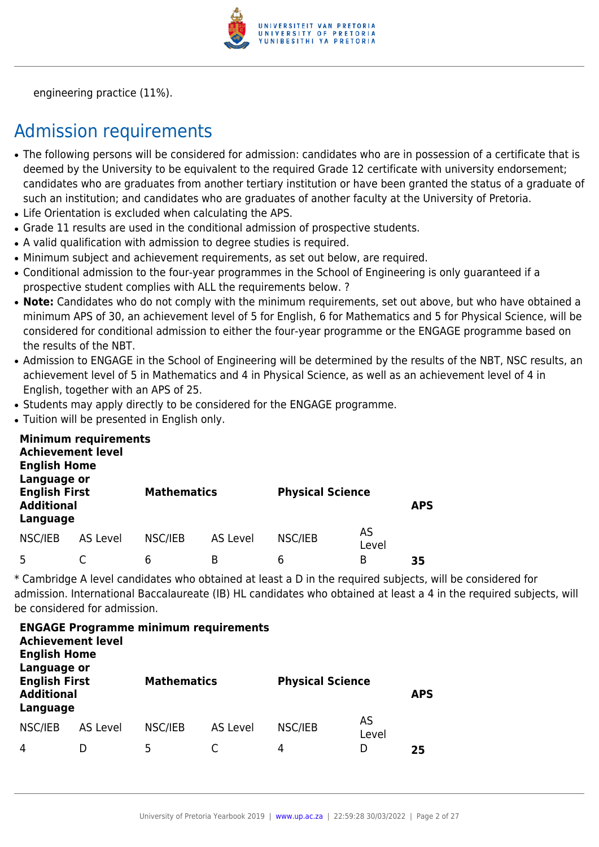

engineering practice (11%).

## Admission requirements

- The following persons will be considered for admission: candidates who are in possession of a certificate that is deemed by the University to be equivalent to the required Grade 12 certificate with university endorsement; candidates who are graduates from another tertiary institution or have been granted the status of a graduate of such an institution; and candidates who are graduates of another faculty at the University of Pretoria.
- Life Orientation is excluded when calculating the APS.
- Grade 11 results are used in the conditional admission of prospective students.
- A valid qualification with admission to degree studies is required.
- Minimum subject and achievement requirements, as set out below, are required.
- Conditional admission to the four-year programmes in the School of Engineering is only guaranteed if a prospective student complies with ALL the requirements below. ?
- Note: Candidates who do not comply with the minimum requirements, set out above, but who have obtained a minimum APS of 30, an achievement level of 5 for English, 6 for Mathematics and 5 for Physical Science, will be considered for conditional admission to either the four-year programme or the ENGAGE programme based on the results of the NBT.
- Admission to ENGAGE in the School of Engineering will be determined by the results of the NBT. NSC results, an achievement level of 5 in Mathematics and 4 in Physical Science, as well as an achievement level of 4 in English, together with an APS of 25.
- Students may apply directly to be considered for the ENGAGE programme.
- Tuition will be presented in English only.

| <b>Achievement level</b><br><b>English Home</b><br>Language or | <b>Minimum requirements</b> |                    |          |                         |             |            |
|----------------------------------------------------------------|-----------------------------|--------------------|----------|-------------------------|-------------|------------|
| <b>English First</b><br><b>Additional</b><br>Language          |                             | <b>Mathematics</b> |          | <b>Physical Science</b> |             | <b>APS</b> |
| NSC/IEB                                                        | <b>AS Level</b>             | NSC/IEB            | AS Level | NSC/IEB                 | AS<br>Level |            |
| 5                                                              |                             | 6                  | B        | 6                       | B           | 35         |

\* Cambridge A level candidates who obtained at least a D in the required subjects, will be considered for admission. International Baccalaureate (IB) HL candidates who obtained at least a 4 in the required subjects, will be considered for admission.

| <b>Achievement level</b><br><b>English Home</b><br>Language or |                 | <b>ENGAGE Programme minimum requirements</b> |          |                         |             |            |
|----------------------------------------------------------------|-----------------|----------------------------------------------|----------|-------------------------|-------------|------------|
| <b>English First</b><br><b>Additional</b><br>Language          |                 | <b>Mathematics</b>                           |          | <b>Physical Science</b> |             | <b>APS</b> |
| NSC/IEB                                                        | <b>AS Level</b> | NSC/IEB                                      | AS Level | NSC/IEB                 | AS<br>Level |            |
| 4                                                              |                 | 5                                            |          | 4                       | D           | 25         |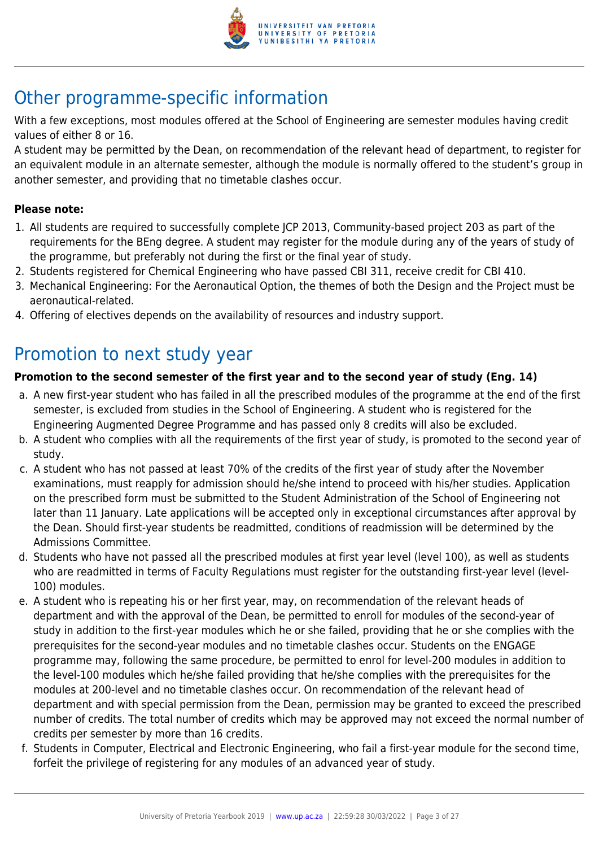

## Other programme-specific information

With a few exceptions, most modules offered at the School of Engineering are semester modules having credit values of either 8 or 16.

A student may be permitted by the Dean, on recommendation of the relevant head of department, to register for an equivalent module in an alternate semester, although the module is normally offered to the student's group in another semester, and providing that no timetable clashes occur.

### **Please note:**

- 1. All students are required to successfully complete JCP 2013, Community-based project 203 as part of the requirements for the BEng degree. A student may register for the module during any of the years of study of the programme, but preferably not during the first or the final year of study.
- 2. Students registered for Chemical Engineering who have passed CBI 311, receive credit for CBI 410.
- 3. Mechanical Engineering: For the Aeronautical Option, the themes of both the Design and the Project must be aeronautical-related.
- 4. Offering of electives depends on the availability of resources and industry support.

## Promotion to next study year

### **Promotion to the second semester of the first year and to the second year of study (Eng. 14)**

- a. A new first-year student who has failed in all the prescribed modules of the programme at the end of the first semester, is excluded from studies in the School of Engineering. A student who is registered for the Engineering Augmented Degree Programme and has passed only 8 credits will also be excluded.
- b. A student who complies with all the requirements of the first year of study, is promoted to the second year of study.
- c. A student who has not passed at least 70% of the credits of the first year of study after the November examinations, must reapply for admission should he/she intend to proceed with his/her studies. Application on the prescribed form must be submitted to the Student Administration of the School of Engineering not later than 11 January. Late applications will be accepted only in exceptional circumstances after approval by the Dean. Should first-year students be readmitted, conditions of readmission will be determined by the Admissions Committee.
- d. Students who have not passed all the prescribed modules at first year level (level 100), as well as students who are readmitted in terms of Faculty Regulations must register for the outstanding first-year level (level-100) modules.
- e. A student who is repeating his or her first year, may, on recommendation of the relevant heads of department and with the approval of the Dean, be permitted to enroll for modules of the second-year of study in addition to the first-year modules which he or she failed, providing that he or she complies with the prerequisites for the second-year modules and no timetable clashes occur. Students on the ENGAGE programme may, following the same procedure, be permitted to enrol for level-200 modules in addition to the level-100 modules which he/she failed providing that he/she complies with the prerequisites for the modules at 200-level and no timetable clashes occur. On recommendation of the relevant head of department and with special permission from the Dean, permission may be granted to exceed the prescribed number of credits. The total number of credits which may be approved may not exceed the normal number of credits per semester by more than 16 credits.
- f. Students in Computer, Electrical and Electronic Engineering, who fail a first-year module for the second time, forfeit the privilege of registering for any modules of an advanced year of study.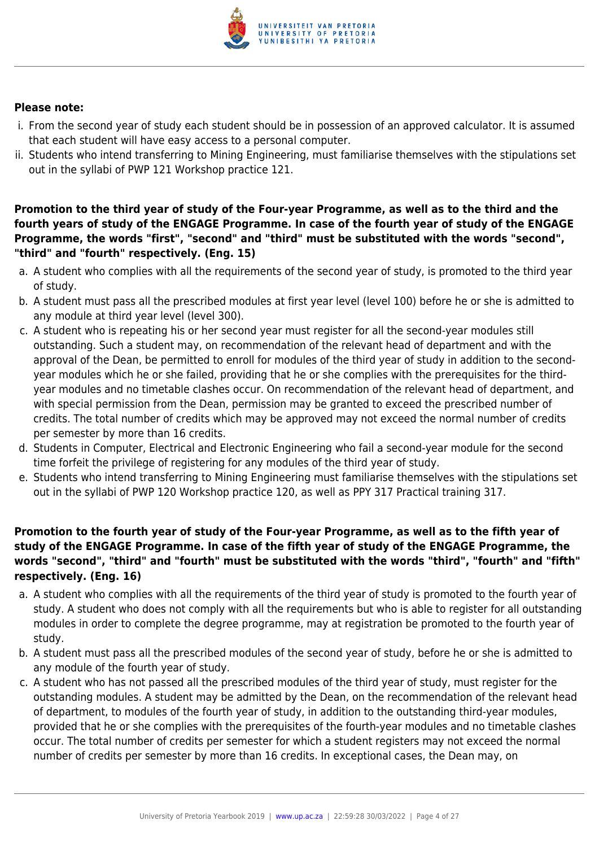

#### **Please note:**

- i. From the second year of study each student should be in possession of an approved calculator. It is assumed that each student will have easy access to a personal computer.
- ii. Students who intend transferring to Mining Engineering, must familiarise themselves with the stipulations set out in the syllabi of PWP 121 Workshop practice 121.

**Promotion to the third year of study of the Four-year Programme, as well as to the third and the fourth years of study of the ENGAGE Programme. In case of the fourth year of study of the ENGAGE Programme, the words "first", "second" and "third" must be substituted with the words "second", "third" and "fourth" respectively. (Eng. 15)**

- a. A student who complies with all the requirements of the second year of study, is promoted to the third year of study.
- b. A student must pass all the prescribed modules at first year level (level 100) before he or she is admitted to any module at third year level (level 300).
- c. A student who is repeating his or her second year must register for all the second-year modules still outstanding. Such a student may, on recommendation of the relevant head of department and with the approval of the Dean, be permitted to enroll for modules of the third year of study in addition to the secondyear modules which he or she failed, providing that he or she complies with the prerequisites for the thirdyear modules and no timetable clashes occur. On recommendation of the relevant head of department, and with special permission from the Dean, permission may be granted to exceed the prescribed number of credits. The total number of credits which may be approved may not exceed the normal number of credits per semester by more than 16 credits.
- d. Students in Computer, Electrical and Electronic Engineering who fail a second-year module for the second time forfeit the privilege of registering for any modules of the third year of study.
- e. Students who intend transferring to Mining Engineering must familiarise themselves with the stipulations set out in the syllabi of PWP 120 Workshop practice 120, as well as PPY 317 Practical training 317.

## **Promotion to the fourth year of study of the Four-year Programme, as well as to the fifth year of study of the ENGAGE Programme. In case of the fifth year of study of the ENGAGE Programme, the words "second", "third" and "fourth" must be substituted with the words "third", "fourth" and "fifth" respectively. (Eng. 16)**

- a. A student who complies with all the requirements of the third year of study is promoted to the fourth year of study. A student who does not comply with all the requirements but who is able to register for all outstanding modules in order to complete the degree programme, may at registration be promoted to the fourth year of study.
- b. A student must pass all the prescribed modules of the second year of study, before he or she is admitted to any module of the fourth year of study.
- c. A student who has not passed all the prescribed modules of the third year of study, must register for the outstanding modules. A student may be admitted by the Dean, on the recommendation of the relevant head of department, to modules of the fourth year of study, in addition to the outstanding third-year modules, provided that he or she complies with the prerequisites of the fourth-year modules and no timetable clashes occur. The total number of credits per semester for which a student registers may not exceed the normal number of credits per semester by more than 16 credits. In exceptional cases, the Dean may, on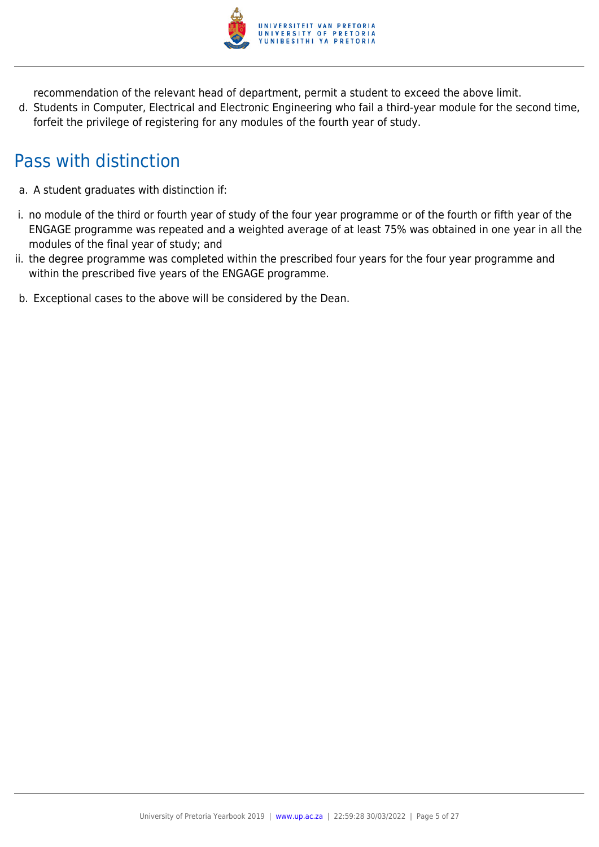

recommendation of the relevant head of department, permit a student to exceed the above limit.

d. Students in Computer, Electrical and Electronic Engineering who fail a third-year module for the second time, forfeit the privilege of registering for any modules of the fourth year of study.

## Pass with distinction

- a. A student graduates with distinction if:
- i. no module of the third or fourth year of study of the four year programme or of the fourth or fifth year of the ENGAGE programme was repeated and a weighted average of at least 75% was obtained in one year in all the modules of the final year of study; and
- ii. the degree programme was completed within the prescribed four years for the four year programme and within the prescribed five years of the ENGAGE programme.
- b. Exceptional cases to the above will be considered by the Dean.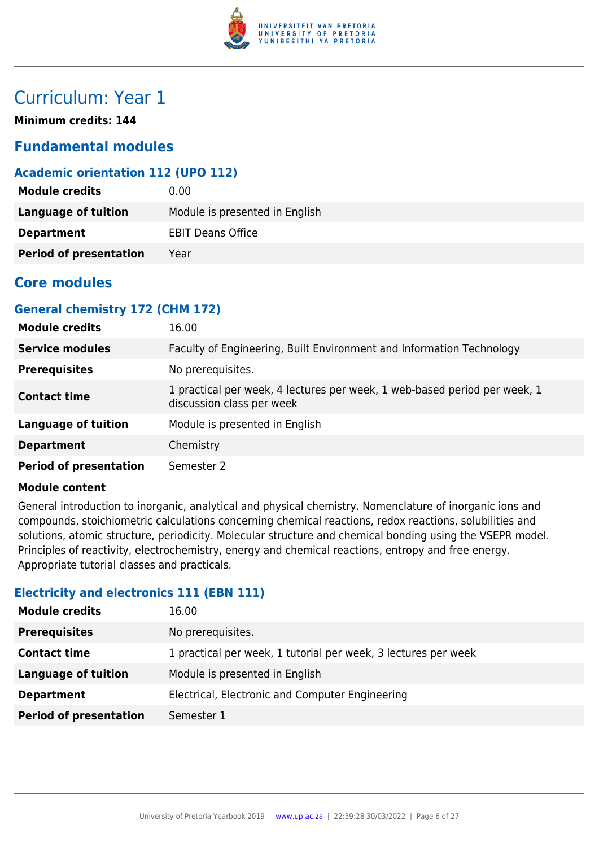

## Curriculum: Year 1

**Minimum credits: 144**

## **Fundamental modules**

## **Academic orientation 112 (UPO 112)**

| <b>Module credits</b>         | $0.00\,$                       |
|-------------------------------|--------------------------------|
| Language of tuition           | Module is presented in English |
| <b>Department</b>             | <b>EBIT Deans Office</b>       |
| <b>Period of presentation</b> | Year                           |

## **Core modules**

## **General chemistry 172 (CHM 172)**

| <b>Module credits</b>         | 16.00                                                                                                  |
|-------------------------------|--------------------------------------------------------------------------------------------------------|
| <b>Service modules</b>        | Faculty of Engineering, Built Environment and Information Technology                                   |
| <b>Prerequisites</b>          | No prerequisites.                                                                                      |
| <b>Contact time</b>           | 1 practical per week, 4 lectures per week, 1 web-based period per week, 1<br>discussion class per week |
| <b>Language of tuition</b>    | Module is presented in English                                                                         |
| <b>Department</b>             | Chemistry                                                                                              |
| <b>Period of presentation</b> | Semester 2                                                                                             |

#### **Module content**

General introduction to inorganic, analytical and physical chemistry. Nomenclature of inorganic ions and compounds, stoichiometric calculations concerning chemical reactions, redox reactions, solubilities and solutions, atomic structure, periodicity. Molecular structure and chemical bonding using the VSEPR model. Principles of reactivity, electrochemistry, energy and chemical reactions, entropy and free energy. Appropriate tutorial classes and practicals.

## **Electricity and electronics 111 (EBN 111)**

| <b>Module credits</b>         | 16.00                                                          |
|-------------------------------|----------------------------------------------------------------|
| <b>Prerequisites</b>          | No prerequisites.                                              |
| <b>Contact time</b>           | 1 practical per week, 1 tutorial per week, 3 lectures per week |
| <b>Language of tuition</b>    | Module is presented in English                                 |
| <b>Department</b>             | Electrical, Electronic and Computer Engineering                |
| <b>Period of presentation</b> | Semester 1                                                     |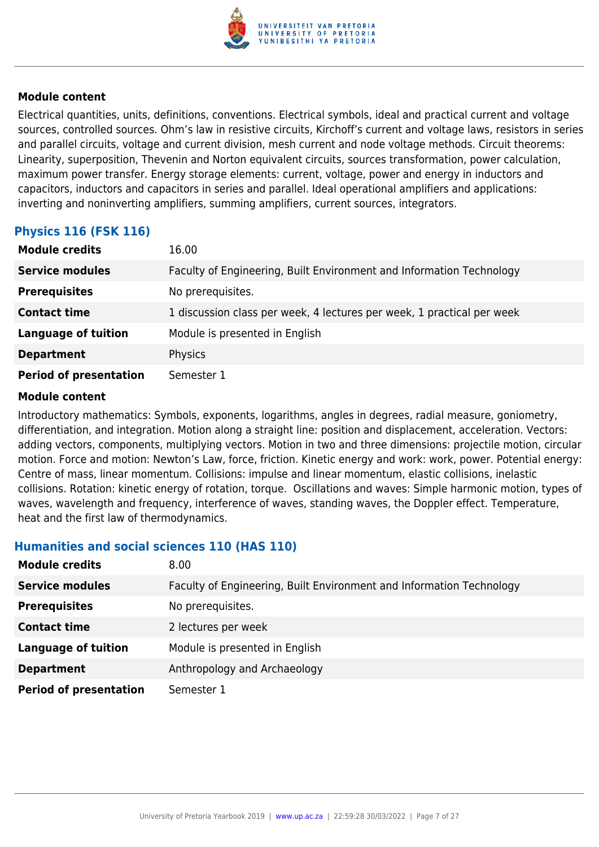

Electrical quantities, units, definitions, conventions. Electrical symbols, ideal and practical current and voltage sources, controlled sources. Ohm's law in resistive circuits, Kirchoff's current and voltage laws, resistors in series and parallel circuits, voltage and current division, mesh current and node voltage methods. Circuit theorems: Linearity, superposition, Thevenin and Norton equivalent circuits, sources transformation, power calculation, maximum power transfer. Energy storage elements: current, voltage, power and energy in inductors and capacitors, inductors and capacitors in series and parallel. Ideal operational amplifiers and applications: inverting and noninverting amplifiers, summing amplifiers, current sources, integrators.

## **Physics 116 (FSK 116)**

| <b>Module credits</b>         | 16.00                                                                  |
|-------------------------------|------------------------------------------------------------------------|
| <b>Service modules</b>        | Faculty of Engineering, Built Environment and Information Technology   |
| <b>Prerequisites</b>          | No prerequisites.                                                      |
| <b>Contact time</b>           | 1 discussion class per week, 4 lectures per week, 1 practical per week |
| <b>Language of tuition</b>    | Module is presented in English                                         |
| <b>Department</b>             | Physics                                                                |
| <b>Period of presentation</b> | Semester 1                                                             |

#### **Module content**

Introductory mathematics: Symbols, exponents, logarithms, angles in degrees, radial measure, goniometry, differentiation, and integration. Motion along a straight line: position and displacement, acceleration. Vectors: adding vectors, components, multiplying vectors. Motion in two and three dimensions: projectile motion, circular motion. Force and motion: Newton's Law, force, friction. Kinetic energy and work: work, power. Potential energy: Centre of mass, linear momentum. Collisions: impulse and linear momentum, elastic collisions, inelastic collisions. Rotation: kinetic energy of rotation, torque. Oscillations and waves: Simple harmonic motion, types of waves, wavelength and frequency, interference of waves, standing waves, the Doppler effect. Temperature, heat and the first law of thermodynamics.

#### **Humanities and social sciences 110 (HAS 110)**

| <b>Module credits</b>         | 8.00                                                                 |
|-------------------------------|----------------------------------------------------------------------|
| <b>Service modules</b>        | Faculty of Engineering, Built Environment and Information Technology |
| <b>Prerequisites</b>          | No prerequisites.                                                    |
| <b>Contact time</b>           | 2 lectures per week                                                  |
| <b>Language of tuition</b>    | Module is presented in English                                       |
| <b>Department</b>             | Anthropology and Archaeology                                         |
| <b>Period of presentation</b> | Semester 1                                                           |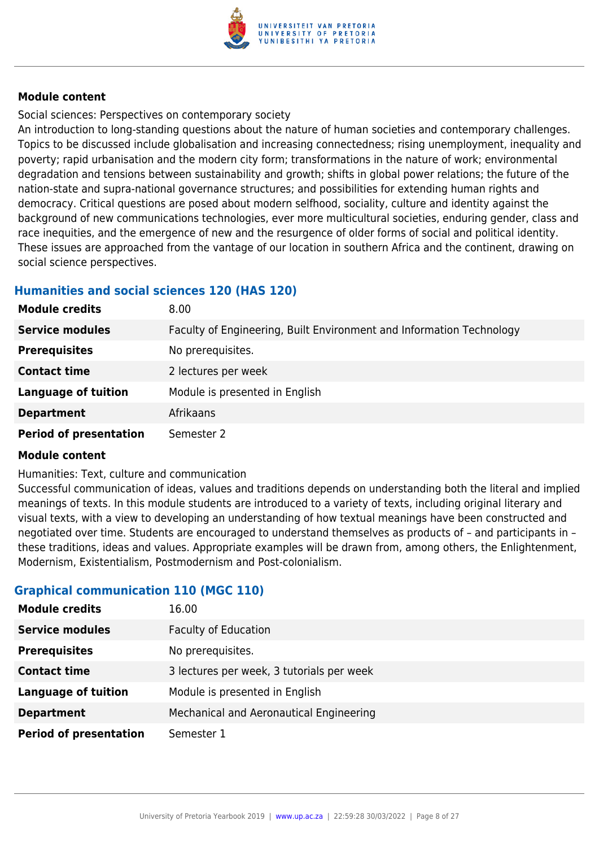

Social sciences: Perspectives on contemporary society

An introduction to long-standing questions about the nature of human societies and contemporary challenges. Topics to be discussed include globalisation and increasing connectedness; rising unemployment, inequality and poverty; rapid urbanisation and the modern city form; transformations in the nature of work; environmental degradation and tensions between sustainability and growth; shifts in global power relations; the future of the nation-state and supra-national governance structures; and possibilities for extending human rights and democracy. Critical questions are posed about modern selfhood, sociality, culture and identity against the background of new communications technologies, ever more multicultural societies, enduring gender, class and race inequities, and the emergence of new and the resurgence of older forms of social and political identity. These issues are approached from the vantage of our location in southern Africa and the continent, drawing on social science perspectives.

## **Humanities and social sciences 120 (HAS 120)**

| <b>Module credits</b>         | 8.00                                                                 |
|-------------------------------|----------------------------------------------------------------------|
| <b>Service modules</b>        | Faculty of Engineering, Built Environment and Information Technology |
| <b>Prerequisites</b>          | No prerequisites.                                                    |
| <b>Contact time</b>           | 2 lectures per week                                                  |
| <b>Language of tuition</b>    | Module is presented in English                                       |
| <b>Department</b>             | Afrikaans                                                            |
| <b>Period of presentation</b> | Semester 2                                                           |

#### **Module content**

Humanities: Text, culture and communication

Successful communication of ideas, values and traditions depends on understanding both the literal and implied meanings of texts. In this module students are introduced to a variety of texts, including original literary and visual texts, with a view to developing an understanding of how textual meanings have been constructed and negotiated over time. Students are encouraged to understand themselves as products of – and participants in – these traditions, ideas and values. Appropriate examples will be drawn from, among others, the Enlightenment, Modernism, Existentialism, Postmodernism and Post-colonialism.

## **Graphical communication 110 (MGC 110)**

| <b>Module credits</b>         | 16.00                                     |
|-------------------------------|-------------------------------------------|
| <b>Service modules</b>        | <b>Faculty of Education</b>               |
| <b>Prerequisites</b>          | No prerequisites.                         |
| <b>Contact time</b>           | 3 lectures per week, 3 tutorials per week |
| <b>Language of tuition</b>    | Module is presented in English            |
| <b>Department</b>             | Mechanical and Aeronautical Engineering   |
| <b>Period of presentation</b> | Semester 1                                |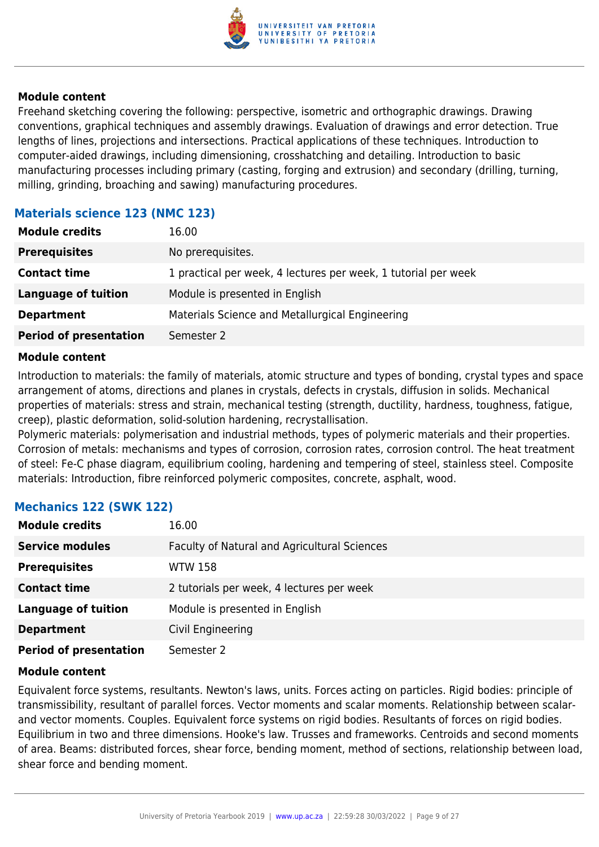

Freehand sketching covering the following: perspective, isometric and orthographic drawings. Drawing conventions, graphical techniques and assembly drawings. Evaluation of drawings and error detection. True lengths of lines, projections and intersections. Practical applications of these techniques. Introduction to computer-aided drawings, including dimensioning, crosshatching and detailing. Introduction to basic manufacturing processes including primary (casting, forging and extrusion) and secondary (drilling, turning, milling, grinding, broaching and sawing) manufacturing procedures.

## **Materials science 123 (NMC 123)**

| <b>Module credits</b>         | 16.00                                                          |
|-------------------------------|----------------------------------------------------------------|
| <b>Prerequisites</b>          | No prerequisites.                                              |
| <b>Contact time</b>           | 1 practical per week, 4 lectures per week, 1 tutorial per week |
| <b>Language of tuition</b>    | Module is presented in English                                 |
| <b>Department</b>             | Materials Science and Metallurgical Engineering                |
| <b>Period of presentation</b> | Semester 2                                                     |

### **Module content**

Introduction to materials: the family of materials, atomic structure and types of bonding, crystal types and space arrangement of atoms, directions and planes in crystals, defects in crystals, diffusion in solids. Mechanical properties of materials: stress and strain, mechanical testing (strength, ductility, hardness, toughness, fatigue, creep), plastic deformation, solid-solution hardening, recrystallisation.

Polymeric materials: polymerisation and industrial methods, types of polymeric materials and their properties. Corrosion of metals: mechanisms and types of corrosion, corrosion rates, corrosion control. The heat treatment of steel: Fe-C phase diagram, equilibrium cooling, hardening and tempering of steel, stainless steel. Composite materials: Introduction, fibre reinforced polymeric composites, concrete, asphalt, wood.

| <b>Module credits</b>         | 16.00                                        |
|-------------------------------|----------------------------------------------|
| <b>Service modules</b>        | Faculty of Natural and Agricultural Sciences |
| <b>Prerequisites</b>          | <b>WTW 158</b>                               |
| <b>Contact time</b>           | 2 tutorials per week, 4 lectures per week    |
| <b>Language of tuition</b>    | Module is presented in English               |
| <b>Department</b>             | Civil Engineering                            |
| <b>Period of presentation</b> | Semester 2                                   |

#### **Mechanics 122 (SWK 122)**

#### **Module content**

Equivalent force systems, resultants. Newton's laws, units. Forces acting on particles. Rigid bodies: principle of transmissibility, resultant of parallel forces. Vector moments and scalar moments. Relationship between scalarand vector moments. Couples. Equivalent force systems on rigid bodies. Resultants of forces on rigid bodies. Equilibrium in two and three dimensions. Hooke's law. Trusses and frameworks. Centroids and second moments of area. Beams: distributed forces, shear force, bending moment, method of sections, relationship between load, shear force and bending moment.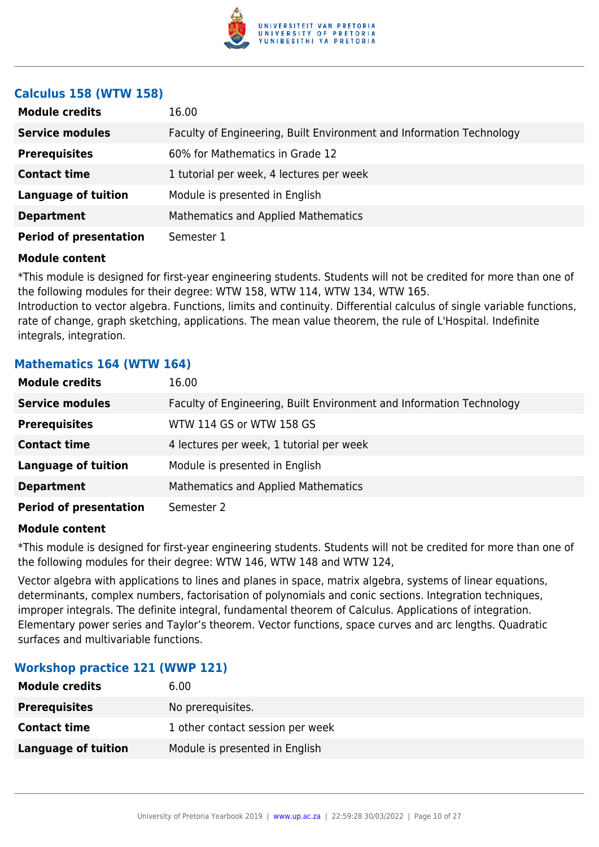

### **Calculus 158 (WTW 158)**

| <b>Module credits</b>         | 16.00                                                                |
|-------------------------------|----------------------------------------------------------------------|
| <b>Service modules</b>        | Faculty of Engineering, Built Environment and Information Technology |
| <b>Prerequisites</b>          | 60% for Mathematics in Grade 12                                      |
| <b>Contact time</b>           | 1 tutorial per week, 4 lectures per week                             |
| <b>Language of tuition</b>    | Module is presented in English                                       |
| <b>Department</b>             | <b>Mathematics and Applied Mathematics</b>                           |
| <b>Period of presentation</b> | Semester 1                                                           |

#### **Module content**

\*This module is designed for first-year engineering students. Students will not be credited for more than one of the following modules for their degree: WTW 158, WTW 114, WTW 134, WTW 165.

Introduction to vector algebra. Functions, limits and continuity. Differential calculus of single variable functions, rate of change, graph sketching, applications. The mean value theorem, the rule of L'Hospital. Indefinite integrals, integration.

## **Mathematics 164 (WTW 164)**

| <b>Module credits</b>         | 16.00                                                                |
|-------------------------------|----------------------------------------------------------------------|
| <b>Service modules</b>        | Faculty of Engineering, Built Environment and Information Technology |
| <b>Prerequisites</b>          | WTW 114 GS or WTW 158 GS                                             |
| <b>Contact time</b>           | 4 lectures per week, 1 tutorial per week                             |
| <b>Language of tuition</b>    | Module is presented in English                                       |
| <b>Department</b>             | Mathematics and Applied Mathematics                                  |
| <b>Period of presentation</b> | Semester 2                                                           |

#### **Module content**

\*This module is designed for first-year engineering students. Students will not be credited for more than one of the following modules for their degree: WTW 146, WTW 148 and WTW 124,

Vector algebra with applications to lines and planes in space, matrix algebra, systems of linear equations, determinants, complex numbers, factorisation of polynomials and conic sections. Integration techniques, improper integrals. The definite integral, fundamental theorem of Calculus. Applications of integration. Elementary power series and Taylor's theorem. Vector functions, space curves and arc lengths. Quadratic surfaces and multivariable functions.

#### **Workshop practice 121 (WWP 121)**

| <b>Module credits</b>      | 6.00                             |
|----------------------------|----------------------------------|
| <b>Prerequisites</b>       | No prerequisites.                |
| <b>Contact time</b>        | 1 other contact session per week |
| <b>Language of tuition</b> | Module is presented in English   |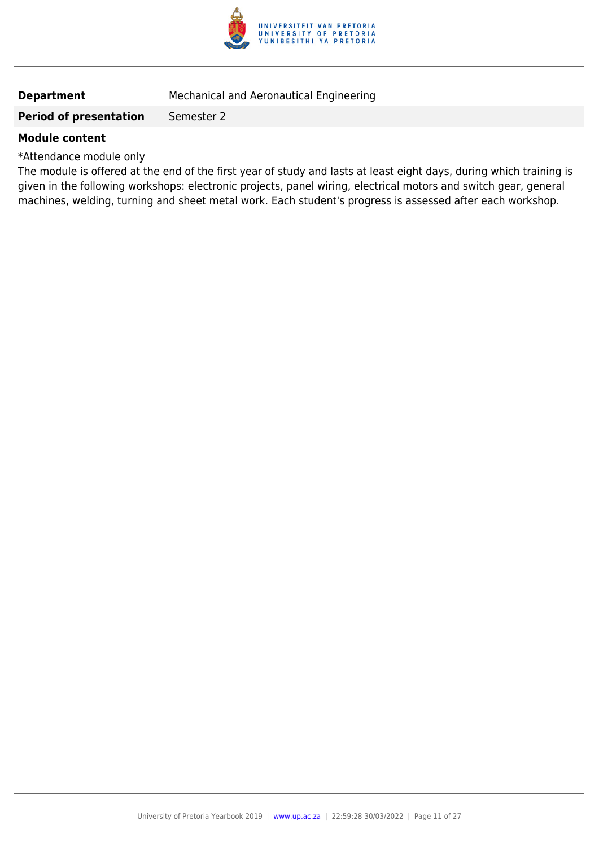

## **Department** Mechanical and Aeronautical Engineering

#### **Period of presentation** Semester 2

#### **Module content**

\*Attendance module only

The module is offered at the end of the first year of study and lasts at least eight days, during which training is given in the following workshops: electronic projects, panel wiring, electrical motors and switch gear, general machines, welding, turning and sheet metal work. Each student's progress is assessed after each workshop.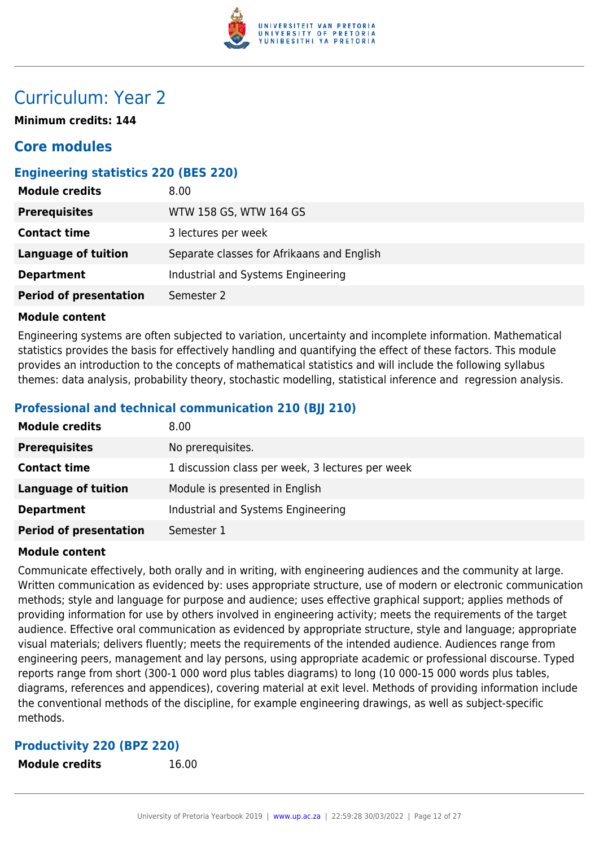

## Curriculum: Year 2

**Minimum credits: 144**

## **Core modules**

## **Engineering statistics 220 (BES 220)**

| <b>Module credits</b>         | 8.00                                       |
|-------------------------------|--------------------------------------------|
| <b>Prerequisites</b>          | WTW 158 GS, WTW 164 GS                     |
| <b>Contact time</b>           | 3 lectures per week                        |
| Language of tuition           | Separate classes for Afrikaans and English |
| <b>Department</b>             | Industrial and Systems Engineering         |
| <b>Period of presentation</b> | Semester 2                                 |

#### **Module content**

Engineering systems are often subjected to variation, uncertainty and incomplete information. Mathematical statistics provides the basis for effectively handling and quantifying the effect of these factors. This module provides an introduction to the concepts of mathematical statistics and will include the following syllabus themes: data analysis, probability theory, stochastic modelling, statistical inference and regression analysis.

## **Professional and technical communication 210 (BJJ 210)**

| <b>Module credits</b>         | 8.00                                             |
|-------------------------------|--------------------------------------------------|
| <b>Prerequisites</b>          | No prerequisites.                                |
| <b>Contact time</b>           | 1 discussion class per week, 3 lectures per week |
| <b>Language of tuition</b>    | Module is presented in English                   |
| <b>Department</b>             | Industrial and Systems Engineering               |
| <b>Period of presentation</b> | Semester 1                                       |

#### **Module content**

Communicate effectively, both orally and in writing, with engineering audiences and the community at large. Written communication as evidenced by: uses appropriate structure, use of modern or electronic communication methods; style and language for purpose and audience; uses effective graphical support; applies methods of providing information for use by others involved in engineering activity; meets the requirements of the target audience. Effective oral communication as evidenced by appropriate structure, style and language; appropriate visual materials; delivers fluently; meets the requirements of the intended audience. Audiences range from engineering peers, management and lay persons, using appropriate academic or professional discourse. Typed reports range from short (300-1 000 word plus tables diagrams) to long (10 000-15 000 words plus tables, diagrams, references and appendices), covering material at exit level. Methods of providing information include the conventional methods of the discipline, for example engineering drawings, as well as subject-specific methods.

#### **Productivity 220 (BPZ 220)**

**Module credits** 16.00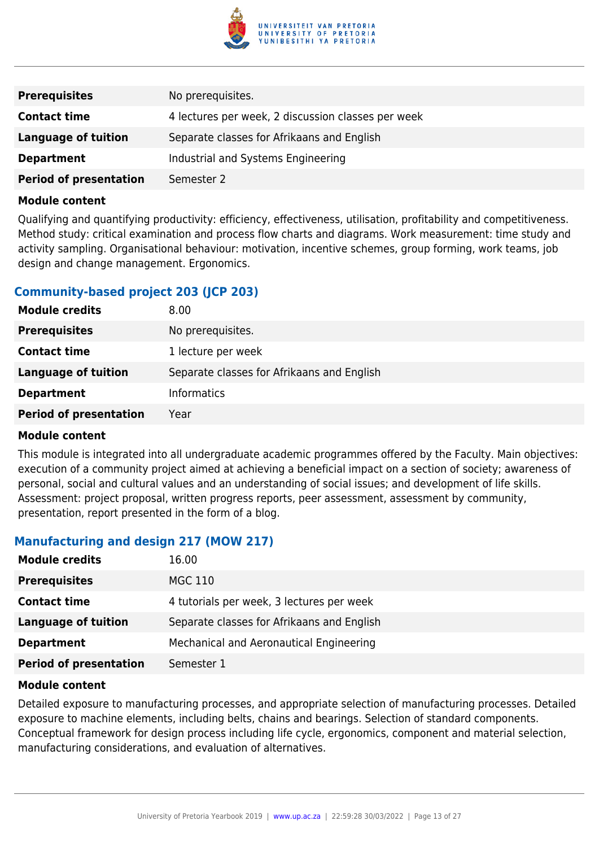

| <b>Prerequisites</b>          | No prerequisites.                                  |
|-------------------------------|----------------------------------------------------|
| <b>Contact time</b>           | 4 lectures per week, 2 discussion classes per week |
| Language of tuition           | Separate classes for Afrikaans and English         |
| <b>Department</b>             | Industrial and Systems Engineering                 |
| <b>Period of presentation</b> | Semester 2                                         |

Qualifying and quantifying productivity: efficiency, effectiveness, utilisation, profitability and competitiveness. Method study: critical examination and process flow charts and diagrams. Work measurement: time study and activity sampling. Organisational behaviour: motivation, incentive schemes, group forming, work teams, job design and change management. Ergonomics.

### **Community-based project 203 (JCP 203)**

| <b>Module credits</b>         | 8.00 <sub>1</sub>                          |
|-------------------------------|--------------------------------------------|
| <b>Prerequisites</b>          | No prerequisites.                          |
| <b>Contact time</b>           | 1 lecture per week                         |
| <b>Language of tuition</b>    | Separate classes for Afrikaans and English |
| <b>Department</b>             | <b>Informatics</b>                         |
| <b>Period of presentation</b> | Year                                       |

#### **Module content**

This module is integrated into all undergraduate academic programmes offered by the Faculty. Main objectives: execution of a community project aimed at achieving a beneficial impact on a section of society; awareness of personal, social and cultural values and an understanding of social issues; and development of life skills. Assessment: project proposal, written progress reports, peer assessment, assessment by community, presentation, report presented in the form of a blog.

## **Manufacturing and design 217 (MOW 217)**

| <b>Module credits</b>         | 16.00                                      |
|-------------------------------|--------------------------------------------|
| <b>Prerequisites</b>          | MGC 110                                    |
| <b>Contact time</b>           | 4 tutorials per week, 3 lectures per week  |
| <b>Language of tuition</b>    | Separate classes for Afrikaans and English |
| <b>Department</b>             | Mechanical and Aeronautical Engineering    |
| <b>Period of presentation</b> | Semester 1                                 |

#### **Module content**

Detailed exposure to manufacturing processes, and appropriate selection of manufacturing processes. Detailed exposure to machine elements, including belts, chains and bearings. Selection of standard components. Conceptual framework for design process including life cycle, ergonomics, component and material selection, manufacturing considerations, and evaluation of alternatives.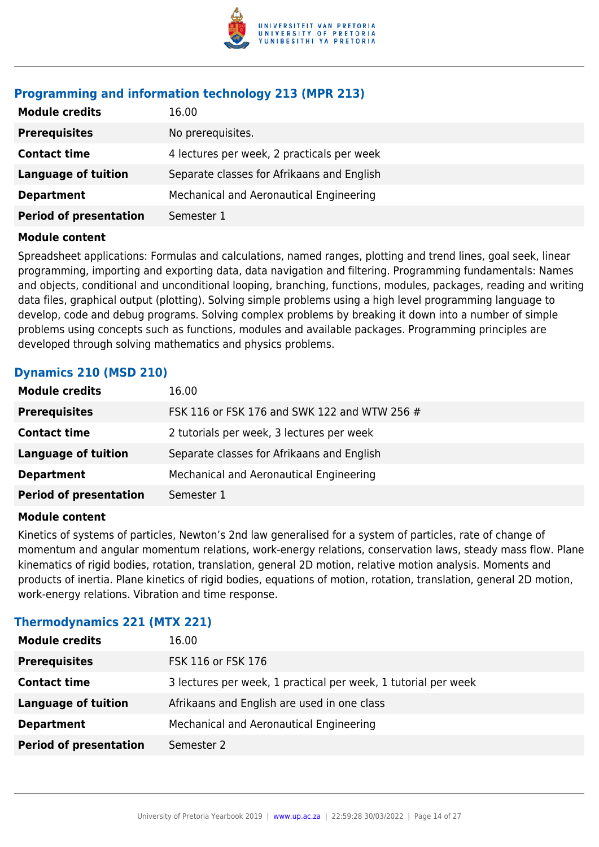

## **Programming and information technology 213 (MPR 213)**

| <b>Module credits</b>         | 16.00                                      |
|-------------------------------|--------------------------------------------|
| <b>Prerequisites</b>          | No prerequisites.                          |
| <b>Contact time</b>           | 4 lectures per week, 2 practicals per week |
| <b>Language of tuition</b>    | Separate classes for Afrikaans and English |
| <b>Department</b>             | Mechanical and Aeronautical Engineering    |
| <b>Period of presentation</b> | Semester 1                                 |
|                               |                                            |

#### **Module content**

Spreadsheet applications: Formulas and calculations, named ranges, plotting and trend lines, goal seek, linear programming, importing and exporting data, data navigation and filtering. Programming fundamentals: Names and objects, conditional and unconditional looping, branching, functions, modules, packages, reading and writing data files, graphical output (plotting). Solving simple problems using a high level programming language to develop, code and debug programs. Solving complex problems by breaking it down into a number of simple problems using concepts such as functions, modules and available packages. Programming principles are developed through solving mathematics and physics problems.

## **Dynamics 210 (MSD 210)**

| <b>Module credits</b>         | 16.00                                        |
|-------------------------------|----------------------------------------------|
| <b>Prerequisites</b>          | FSK 116 or FSK 176 and SWK 122 and WTW 256 # |
| <b>Contact time</b>           | 2 tutorials per week, 3 lectures per week    |
| <b>Language of tuition</b>    | Separate classes for Afrikaans and English   |
| <b>Department</b>             | Mechanical and Aeronautical Engineering      |
| <b>Period of presentation</b> | Semester 1                                   |
|                               |                                              |

#### **Module content**

Kinetics of systems of particles, Newton's 2nd law generalised for a system of particles, rate of change of momentum and angular momentum relations, work-energy relations, conservation laws, steady mass flow. Plane kinematics of rigid bodies, rotation, translation, general 2D motion, relative motion analysis. Moments and products of inertia. Plane kinetics of rigid bodies, equations of motion, rotation, translation, general 2D motion, work-energy relations. Vibration and time response.

#### **Thermodynamics 221 (MTX 221)**

| <b>Module credits</b>         | 16.00                                                          |
|-------------------------------|----------------------------------------------------------------|
| <b>Prerequisites</b>          | FSK 116 or FSK 176                                             |
| <b>Contact time</b>           | 3 lectures per week, 1 practical per week, 1 tutorial per week |
| <b>Language of tuition</b>    | Afrikaans and English are used in one class                    |
| <b>Department</b>             | Mechanical and Aeronautical Engineering                        |
| <b>Period of presentation</b> | Semester 2                                                     |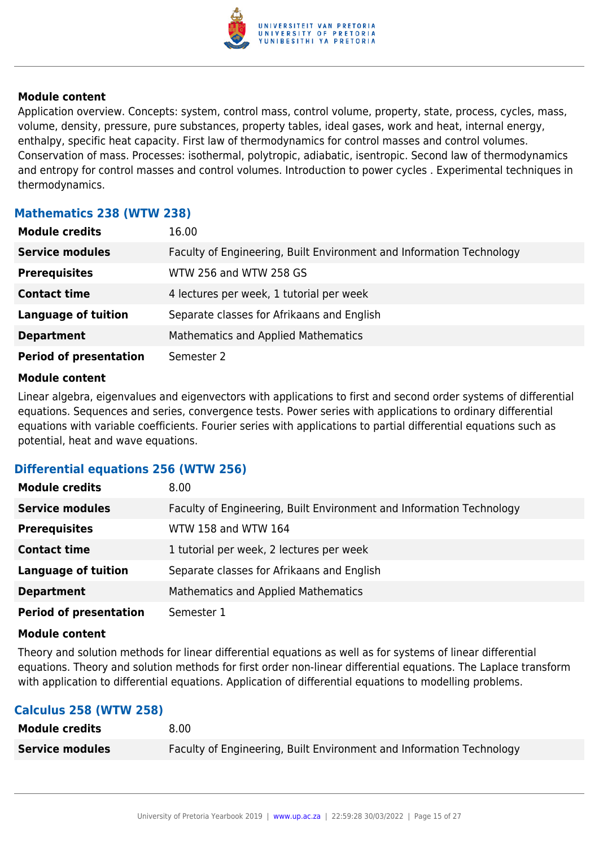

Application overview. Concepts: system, control mass, control volume, property, state, process, cycles, mass, volume, density, pressure, pure substances, property tables, ideal gases, work and heat, internal energy, enthalpy, specific heat capacity. First law of thermodynamics for control masses and control volumes. Conservation of mass. Processes: isothermal, polytropic, adiabatic, isentropic. Second law of thermodynamics and entropy for control masses and control volumes. Introduction to power cycles . Experimental techniques in thermodynamics.

### **Mathematics 238 (WTW 238)**

| <b>Module credits</b>         | 16.00                                                                |
|-------------------------------|----------------------------------------------------------------------|
| <b>Service modules</b>        | Faculty of Engineering, Built Environment and Information Technology |
| <b>Prerequisites</b>          | WTW 256 and WTW 258 GS                                               |
| <b>Contact time</b>           | 4 lectures per week, 1 tutorial per week                             |
| <b>Language of tuition</b>    | Separate classes for Afrikaans and English                           |
| <b>Department</b>             | Mathematics and Applied Mathematics                                  |
| <b>Period of presentation</b> | Semester 2                                                           |

#### **Module content**

Linear algebra, eigenvalues and eigenvectors with applications to first and second order systems of differential equations. Sequences and series, convergence tests. Power series with applications to ordinary differential equations with variable coefficients. Fourier series with applications to partial differential equations such as potential, heat and wave equations.

#### **Differential equations 256 (WTW 256)**

| <b>Module credits</b>         | 8.00                                                                 |
|-------------------------------|----------------------------------------------------------------------|
| <b>Service modules</b>        | Faculty of Engineering, Built Environment and Information Technology |
| <b>Prerequisites</b>          | WTW 158 and WTW 164                                                  |
| <b>Contact time</b>           | 1 tutorial per week, 2 lectures per week                             |
| <b>Language of tuition</b>    | Separate classes for Afrikaans and English                           |
| <b>Department</b>             | <b>Mathematics and Applied Mathematics</b>                           |
| <b>Period of presentation</b> | Semester 1                                                           |

#### **Module content**

Theory and solution methods for linear differential equations as well as for systems of linear differential equations. Theory and solution methods for first order non-linear differential equations. The Laplace transform with application to differential equations. Application of differential equations to modelling problems.

#### **Calculus 258 (WTW 258)**

| <b>Module credits</b>  | 8.00                                                                 |
|------------------------|----------------------------------------------------------------------|
| <b>Service modules</b> | Faculty of Engineering, Built Environment and Information Technology |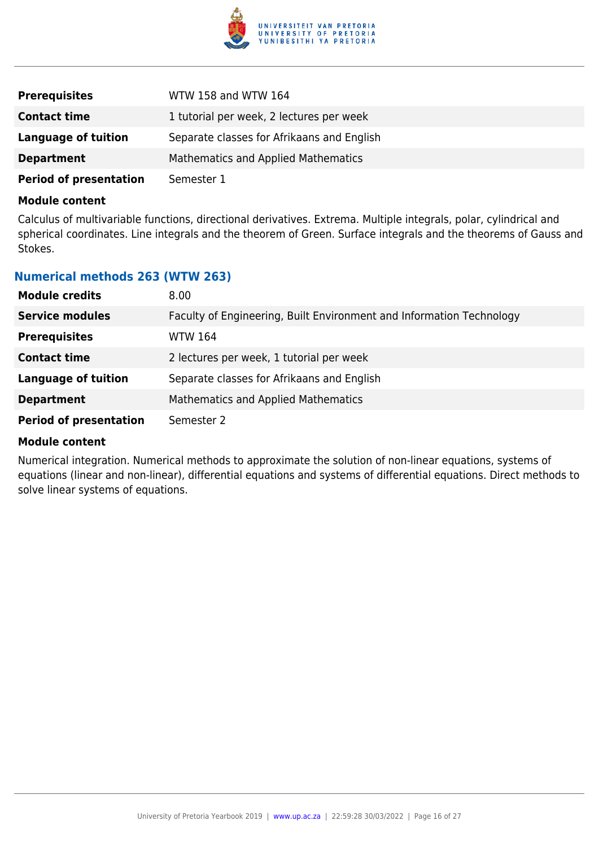

| <b>Prerequisites</b>          | WTW 158 and WTW 164                        |
|-------------------------------|--------------------------------------------|
| <b>Contact time</b>           | 1 tutorial per week, 2 lectures per week   |
| Language of tuition           | Separate classes for Afrikaans and English |
| <b>Department</b>             | <b>Mathematics and Applied Mathematics</b> |
| <b>Period of presentation</b> | Semester 1                                 |

Calculus of multivariable functions, directional derivatives. Extrema. Multiple integrals, polar, cylindrical and spherical coordinates. Line integrals and the theorem of Green. Surface integrals and the theorems of Gauss and Stokes.

#### **Numerical methods 263 (WTW 263)**

| <b>Module credits</b>         | 8.00                                                                 |
|-------------------------------|----------------------------------------------------------------------|
| <b>Service modules</b>        | Faculty of Engineering, Built Environment and Information Technology |
| <b>Prerequisites</b>          | <b>WTW 164</b>                                                       |
| <b>Contact time</b>           | 2 lectures per week, 1 tutorial per week                             |
| <b>Language of tuition</b>    | Separate classes for Afrikaans and English                           |
| <b>Department</b>             | <b>Mathematics and Applied Mathematics</b>                           |
| <b>Period of presentation</b> | Semester 2                                                           |

#### **Module content**

Numerical integration. Numerical methods to approximate the solution of non-linear equations, systems of equations (linear and non-linear), differential equations and systems of differential equations. Direct methods to solve linear systems of equations.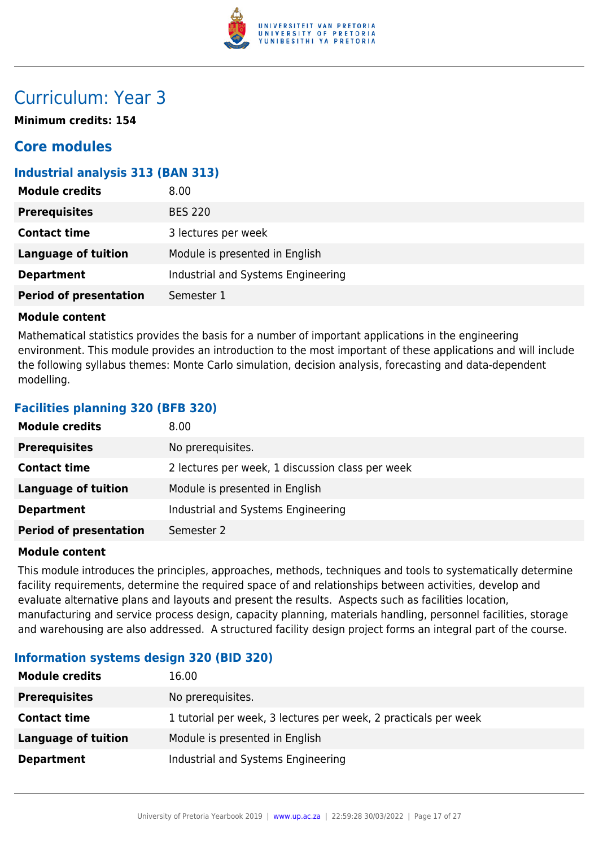

## Curriculum: Year 3

**Minimum credits: 154**

## **Core modules**

## **Industrial analysis 313 (BAN 313)**

| <b>Module credits</b>         | 8.00                               |
|-------------------------------|------------------------------------|
| <b>Prerequisites</b>          | <b>BES 220</b>                     |
| <b>Contact time</b>           | 3 lectures per week                |
| <b>Language of tuition</b>    | Module is presented in English     |
| <b>Department</b>             | Industrial and Systems Engineering |
| <b>Period of presentation</b> | Semester 1                         |

### **Module content**

Mathematical statistics provides the basis for a number of important applications in the engineering environment. This module provides an introduction to the most important of these applications and will include the following syllabus themes: Monte Carlo simulation, decision analysis, forecasting and data-dependent modelling.

## **Facilities planning 320 (BFB 320)**

| <b>Module credits</b>         | 8.00                                             |
|-------------------------------|--------------------------------------------------|
| <b>Prerequisites</b>          | No prerequisites.                                |
| <b>Contact time</b>           | 2 lectures per week, 1 discussion class per week |
| Language of tuition           | Module is presented in English                   |
| <b>Department</b>             | Industrial and Systems Engineering               |
| <b>Period of presentation</b> | Semester 2                                       |

#### **Module content**

This module introduces the principles, approaches, methods, techniques and tools to systematically determine facility requirements, determine the required space of and relationships between activities, develop and evaluate alternative plans and layouts and present the results. Aspects such as facilities location, manufacturing and service process design, capacity planning, materials handling, personnel facilities, storage and warehousing are also addressed. A structured facility design project forms an integral part of the course.

## **Information systems design 320 (BID 320)**

| <b>Module credits</b> | 16.00                                                           |
|-----------------------|-----------------------------------------------------------------|
| <b>Prerequisites</b>  | No prerequisites.                                               |
| <b>Contact time</b>   | 1 tutorial per week, 3 lectures per week, 2 practicals per week |
| Language of tuition   | Module is presented in English                                  |
| <b>Department</b>     | Industrial and Systems Engineering                              |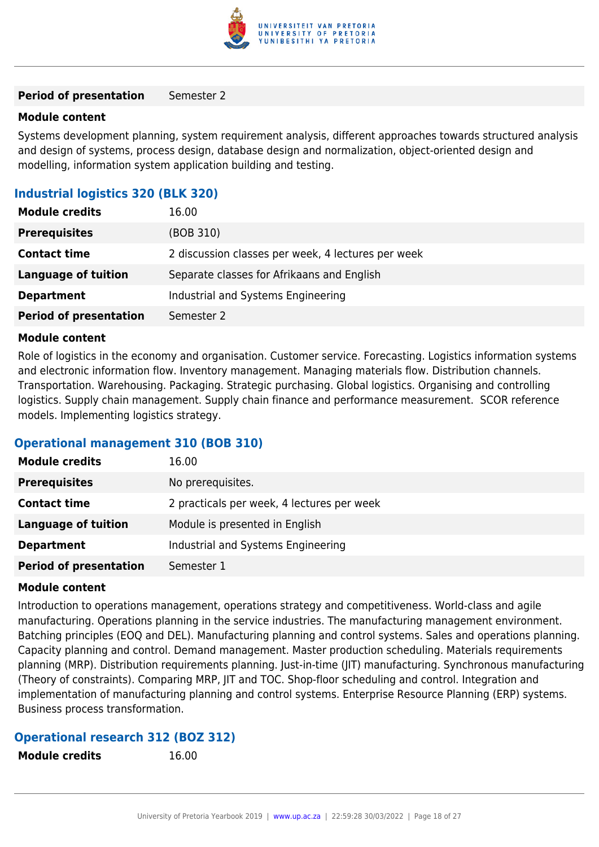

#### **Period of presentation** Semester 2

#### **Module content**

Systems development planning, system requirement analysis, different approaches towards structured analysis and design of systems, process design, database design and normalization, object-oriented design and modelling, information system application building and testing.

#### **Industrial logistics 320 (BLK 320)**

| <b>Module credits</b>         | 16.00                                              |
|-------------------------------|----------------------------------------------------|
| <b>Prerequisites</b>          | (BOB 310)                                          |
| <b>Contact time</b>           | 2 discussion classes per week, 4 lectures per week |
| Language of tuition           | Separate classes for Afrikaans and English         |
| <b>Department</b>             | Industrial and Systems Engineering                 |
| <b>Period of presentation</b> | Semester 2                                         |

#### **Module content**

Role of logistics in the economy and organisation. Customer service. Forecasting. Logistics information systems and electronic information flow. Inventory management. Managing materials flow. Distribution channels. Transportation. Warehousing. Packaging. Strategic purchasing. Global logistics. Organising and controlling logistics. Supply chain management. Supply chain finance and performance measurement. SCOR reference models. Implementing logistics strategy.

#### **Operational management 310 (BOB 310)**

| <b>Module credits</b>         | 16.00                                      |
|-------------------------------|--------------------------------------------|
| <b>Prerequisites</b>          | No prerequisites.                          |
| <b>Contact time</b>           | 2 practicals per week, 4 lectures per week |
| Language of tuition           | Module is presented in English             |
| <b>Department</b>             | Industrial and Systems Engineering         |
| <b>Period of presentation</b> | Semester 1                                 |

#### **Module content**

Introduction to operations management, operations strategy and competitiveness. World-class and agile manufacturing. Operations planning in the service industries. The manufacturing management environment. Batching principles (EOQ and DEL). Manufacturing planning and control systems. Sales and operations planning. Capacity planning and control. Demand management. Master production scheduling. Materials requirements planning (MRP). Distribution requirements planning. Just-in-time (JIT) manufacturing. Synchronous manufacturing (Theory of constraints). Comparing MRP, JIT and TOC. Shop-floor scheduling and control. Integration and implementation of manufacturing planning and control systems. Enterprise Resource Planning (ERP) systems. Business process transformation.

#### **Operational research 312 (BOZ 312)**

**Module credits** 16.00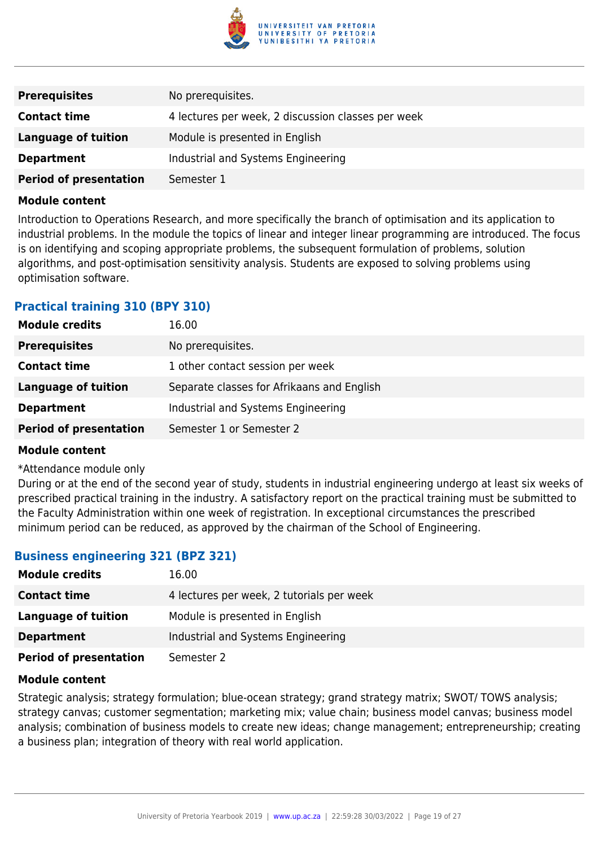

| <b>Prerequisites</b>          | No prerequisites.                                  |
|-------------------------------|----------------------------------------------------|
| <b>Contact time</b>           | 4 lectures per week, 2 discussion classes per week |
| Language of tuition           | Module is presented in English                     |
| <b>Department</b>             | Industrial and Systems Engineering                 |
| <b>Period of presentation</b> | Semester 1                                         |

Introduction to Operations Research, and more specifically the branch of optimisation and its application to industrial problems. In the module the topics of linear and integer linear programming are introduced. The focus is on identifying and scoping appropriate problems, the subsequent formulation of problems, solution algorithms, and post-optimisation sensitivity analysis. Students are exposed to solving problems using optimisation software.

### **Practical training 310 (BPY 310)**

| <b>Module credits</b>         | 16.00                                      |
|-------------------------------|--------------------------------------------|
| <b>Prerequisites</b>          | No prerequisites.                          |
| <b>Contact time</b>           | 1 other contact session per week           |
| Language of tuition           | Separate classes for Afrikaans and English |
| <b>Department</b>             | Industrial and Systems Engineering         |
| <b>Period of presentation</b> | Semester 1 or Semester 2                   |

#### **Module content**

#### \*Attendance module only

During or at the end of the second year of study, students in industrial engineering undergo at least six weeks of prescribed practical training in the industry. A satisfactory report on the practical training must be submitted to the Faculty Administration within one week of registration. In exceptional circumstances the prescribed minimum period can be reduced, as approved by the chairman of the School of Engineering.

#### **Business engineering 321 (BPZ 321)**

| <b>Module credits</b>         | 16.00                                     |
|-------------------------------|-------------------------------------------|
| <b>Contact time</b>           | 4 lectures per week, 2 tutorials per week |
| Language of tuition           | Module is presented in English            |
| <b>Department</b>             | Industrial and Systems Engineering        |
| <b>Period of presentation</b> | Semester 2                                |

#### **Module content**

Strategic analysis; strategy formulation; blue-ocean strategy; grand strategy matrix; SWOT/ TOWS analysis; strategy canvas; customer segmentation; marketing mix; value chain; business model canvas; business model analysis; combination of business models to create new ideas; change management; entrepreneurship; creating a business plan; integration of theory with real world application.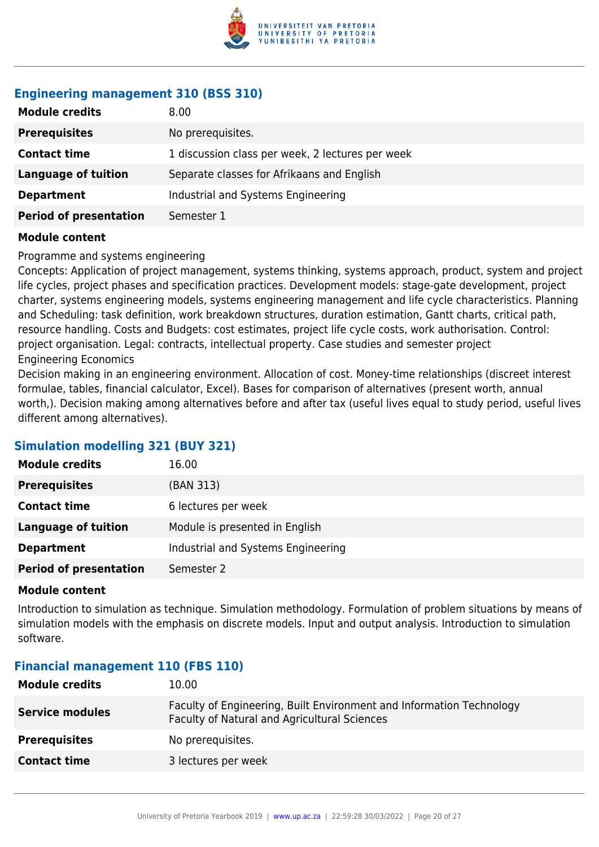

## **Engineering management 310 (BSS 310)**

| <b>Module credits</b>         | 8.00                                             |
|-------------------------------|--------------------------------------------------|
| <b>Prerequisites</b>          | No prerequisites.                                |
| <b>Contact time</b>           | 1 discussion class per week, 2 lectures per week |
| <b>Language of tuition</b>    | Separate classes for Afrikaans and English       |
| <b>Department</b>             | Industrial and Systems Engineering               |
| <b>Period of presentation</b> | Semester 1                                       |

#### **Module content**

#### Programme and systems engineering

Concepts: Application of project management, systems thinking, systems approach, product, system and project life cycles, project phases and specification practices. Development models: stage-gate development, project charter, systems engineering models, systems engineering management and life cycle characteristics. Planning and Scheduling: task definition, work breakdown structures, duration estimation, Gantt charts, critical path, resource handling. Costs and Budgets: cost estimates, project life cycle costs, work authorisation. Control: project organisation. Legal: contracts, intellectual property. Case studies and semester project Engineering Economics

Decision making in an engineering environment. Allocation of cost. Money-time relationships (discreet interest formulae, tables, financial calculator, Excel). Bases for comparison of alternatives (present worth, annual worth,). Decision making among alternatives before and after tax (useful lives equal to study period, useful lives different among alternatives).

## **Simulation modelling 321 (BUY 321)**

| <b>Module credits</b>         | 16.00                              |
|-------------------------------|------------------------------------|
| <b>Prerequisites</b>          | (BAN 313)                          |
| <b>Contact time</b>           | 6 lectures per week                |
| <b>Language of tuition</b>    | Module is presented in English     |
| <b>Department</b>             | Industrial and Systems Engineering |
| <b>Period of presentation</b> | Semester 2                         |

#### **Module content**

Introduction to simulation as technique. Simulation methodology. Formulation of problem situations by means of simulation models with the emphasis on discrete models. Input and output analysis. Introduction to simulation software.

#### **Financial management 110 (FBS 110)**

| <b>Module credits</b>  | 10.00                                                                                                                |
|------------------------|----------------------------------------------------------------------------------------------------------------------|
| <b>Service modules</b> | Faculty of Engineering, Built Environment and Information Technology<br>Faculty of Natural and Agricultural Sciences |
| <b>Prerequisites</b>   | No prerequisites.                                                                                                    |
| <b>Contact time</b>    | 3 lectures per week                                                                                                  |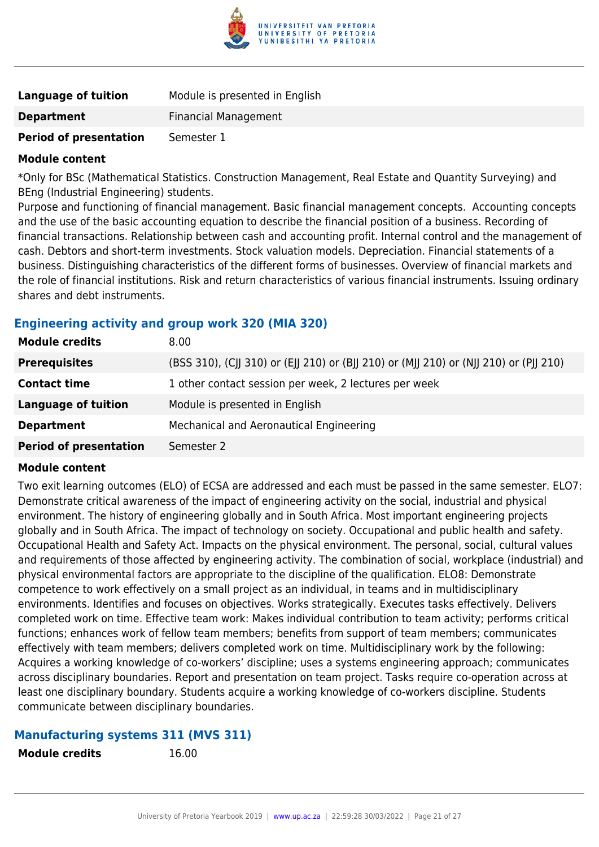

| Language of tuition           | Module is presented in English |
|-------------------------------|--------------------------------|
| <b>Department</b>             | <b>Financial Management</b>    |
| <b>Period of presentation</b> | Semester 1                     |

\*Only for BSc (Mathematical Statistics. Construction Management, Real Estate and Quantity Surveying) and BEng (Industrial Engineering) students.

Purpose and functioning of financial management. Basic financial management concepts. Accounting concepts and the use of the basic accounting equation to describe the financial position of a business. Recording of financial transactions. Relationship between cash and accounting profit. Internal control and the management of cash. Debtors and short-term investments. Stock valuation models. Depreciation. Financial statements of a business. Distinguishing characteristics of the different forms of businesses. Overview of financial markets and the role of financial institutions. Risk and return characteristics of various financial instruments. Issuing ordinary shares and debt instruments.

### **Engineering activity and group work 320 (MIA 320)**

| <b>Module credits</b>         | 8.00                                                                                  |
|-------------------------------|---------------------------------------------------------------------------------------|
| <b>Prerequisites</b>          | (BSS 310), (CJJ 310) or (EJJ 210) or (BJJ 210) or (MJJ 210) or (NJJ 210) or (PJJ 210) |
| <b>Contact time</b>           | 1 other contact session per week, 2 lectures per week                                 |
| <b>Language of tuition</b>    | Module is presented in English                                                        |
| <b>Department</b>             | Mechanical and Aeronautical Engineering                                               |
| <b>Period of presentation</b> | Semester 2                                                                            |

#### **Module content**

Two exit learning outcomes (ELO) of ECSA are addressed and each must be passed in the same semester. ELO7: Demonstrate critical awareness of the impact of engineering activity on the social, industrial and physical environment. The history of engineering globally and in South Africa. Most important engineering projects globally and in South Africa. The impact of technology on society. Occupational and public health and safety. Occupational Health and Safety Act. Impacts on the physical environment. The personal, social, cultural values and requirements of those affected by engineering activity. The combination of social, workplace (industrial) and physical environmental factors are appropriate to the discipline of the qualification. ELO8: Demonstrate competence to work effectively on a small project as an individual, in teams and in multidisciplinary environments. Identifies and focuses on objectives. Works strategically. Executes tasks effectively. Delivers completed work on time. Effective team work: Makes individual contribution to team activity; performs critical functions; enhances work of fellow team members; benefits from support of team members; communicates effectively with team members; delivers completed work on time. Multidisciplinary work by the following: Acquires a working knowledge of co-workers' discipline; uses a systems engineering approach; communicates across disciplinary boundaries. Report and presentation on team project. Tasks require co-operation across at least one disciplinary boundary. Students acquire a working knowledge of co-workers discipline. Students communicate between disciplinary boundaries.

#### **Manufacturing systems 311 (MVS 311)**

**Module credits** 16.00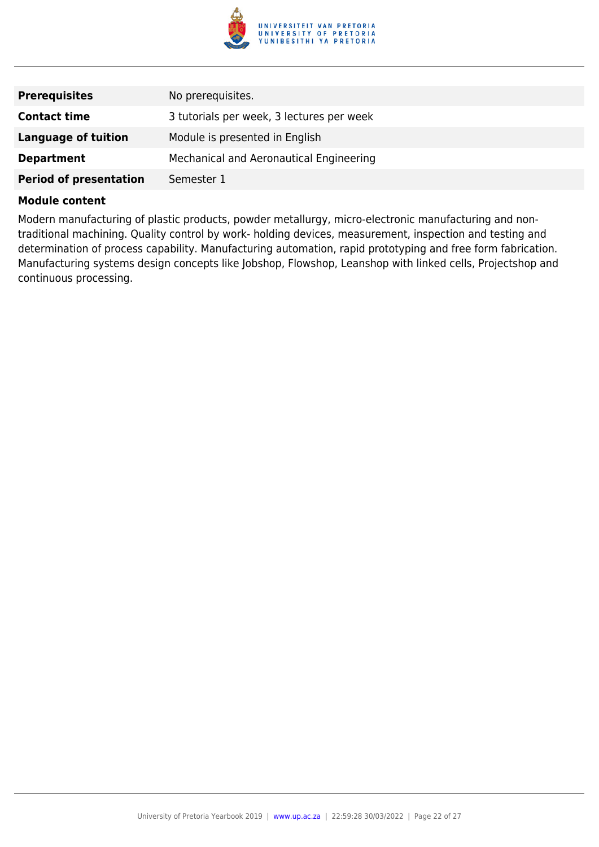

| <b>Prerequisites</b>          | No prerequisites.                         |
|-------------------------------|-------------------------------------------|
| <b>Contact time</b>           | 3 tutorials per week, 3 lectures per week |
| Language of tuition           | Module is presented in English            |
| <b>Department</b>             | Mechanical and Aeronautical Engineering   |
| <b>Period of presentation</b> | Semester 1                                |

Modern manufacturing of plastic products, powder metallurgy, micro-electronic manufacturing and nontraditional machining. Quality control by work- holding devices, measurement, inspection and testing and determination of process capability. Manufacturing automation, rapid prototyping and free form fabrication. Manufacturing systems design concepts like Jobshop, Flowshop, Leanshop with linked cells, Projectshop and continuous processing.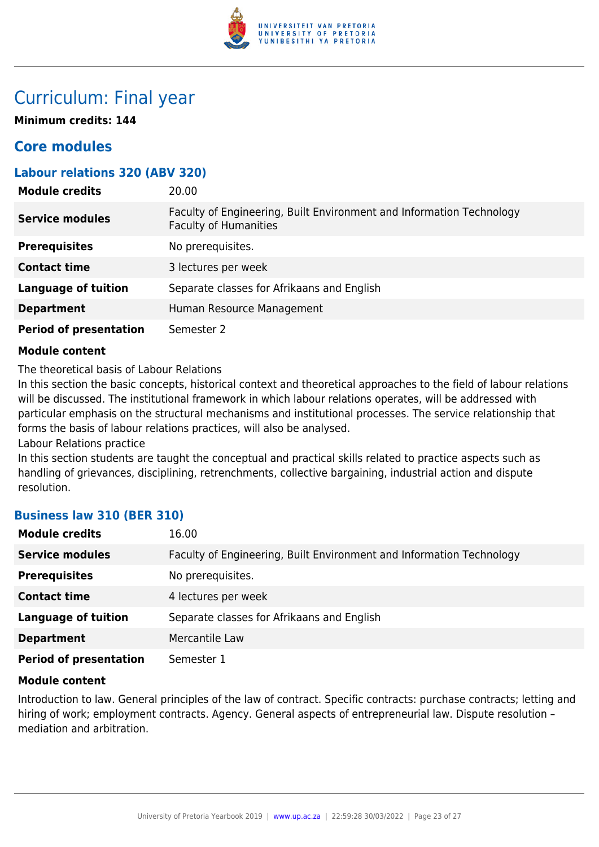

## Curriculum: Final year

**Minimum credits: 144**

## **Core modules**

## **Labour relations 320 (ABV 320)**

| <b>Module credits</b>         | 20.00                                                                                                |
|-------------------------------|------------------------------------------------------------------------------------------------------|
| <b>Service modules</b>        | Faculty of Engineering, Built Environment and Information Technology<br><b>Faculty of Humanities</b> |
| <b>Prerequisites</b>          | No prerequisites.                                                                                    |
| <b>Contact time</b>           | 3 lectures per week                                                                                  |
| <b>Language of tuition</b>    | Separate classes for Afrikaans and English                                                           |
| <b>Department</b>             | Human Resource Management                                                                            |
| <b>Period of presentation</b> | Semester 2                                                                                           |

#### **Module content**

The theoretical basis of Labour Relations

In this section the basic concepts, historical context and theoretical approaches to the field of labour relations will be discussed. The institutional framework in which labour relations operates, will be addressed with particular emphasis on the structural mechanisms and institutional processes. The service relationship that forms the basis of labour relations practices, will also be analysed.

Labour Relations practice

In this section students are taught the conceptual and practical skills related to practice aspects such as handling of grievances, disciplining, retrenchments, collective bargaining, industrial action and dispute resolution.

## **Business law 310 (BER 310)**

| <b>Module credits</b>         | 16.00                                                                |
|-------------------------------|----------------------------------------------------------------------|
| <b>Service modules</b>        | Faculty of Engineering, Built Environment and Information Technology |
| <b>Prerequisites</b>          | No prerequisites.                                                    |
| <b>Contact time</b>           | 4 lectures per week                                                  |
| <b>Language of tuition</b>    | Separate classes for Afrikaans and English                           |
| <b>Department</b>             | Mercantile Law                                                       |
| <b>Period of presentation</b> | Semester 1                                                           |

#### **Module content**

Introduction to law. General principles of the law of contract. Specific contracts: purchase contracts; letting and hiring of work; employment contracts. Agency. General aspects of entrepreneurial law. Dispute resolution mediation and arbitration.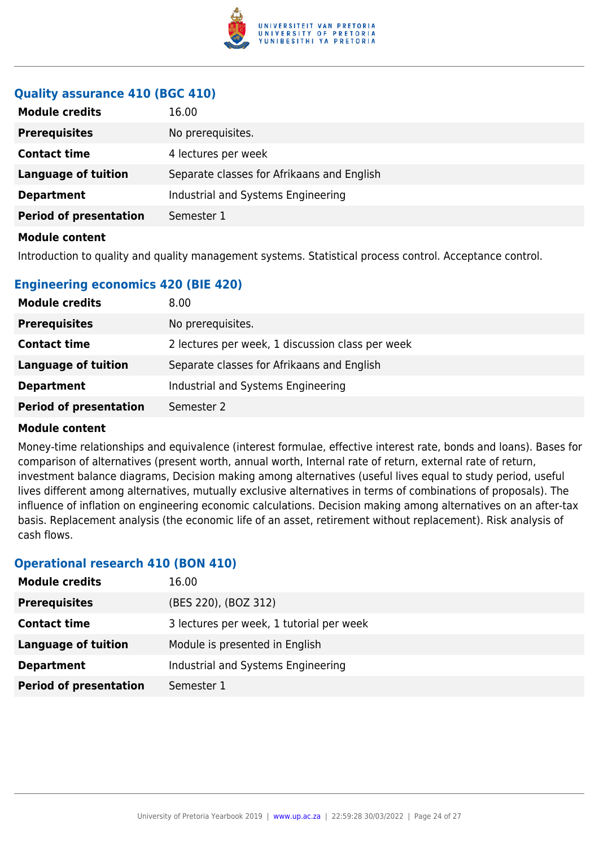

## **Quality assurance 410 (BGC 410)**

| <b>Module credits</b>         | 16.00                                      |
|-------------------------------|--------------------------------------------|
| <b>Prerequisites</b>          | No prerequisites.                          |
| <b>Contact time</b>           | 4 lectures per week                        |
| <b>Language of tuition</b>    | Separate classes for Afrikaans and English |
| <b>Department</b>             | Industrial and Systems Engineering         |
| <b>Period of presentation</b> | Semester 1                                 |
| <b>Module content</b>         |                                            |

Introduction to quality and quality management systems. Statistical process control. Acceptance control.

## **Engineering economics 420 (BIE 420)**

| <b>Module credits</b>         | 8.00                                             |
|-------------------------------|--------------------------------------------------|
| <b>Prerequisites</b>          | No prerequisites.                                |
| <b>Contact time</b>           | 2 lectures per week, 1 discussion class per week |
| Language of tuition           | Separate classes for Afrikaans and English       |
| <b>Department</b>             | Industrial and Systems Engineering               |
| <b>Period of presentation</b> | Semester 2                                       |

#### **Module content**

Money-time relationships and equivalence (interest formulae, effective interest rate, bonds and loans). Bases for comparison of alternatives (present worth, annual worth, Internal rate of return, external rate of return, investment balance diagrams, Decision making among alternatives (useful lives equal to study period, useful lives different among alternatives, mutually exclusive alternatives in terms of combinations of proposals). The influence of inflation on engineering economic calculations. Decision making among alternatives on an after-tax basis. Replacement analysis (the economic life of an asset, retirement without replacement). Risk analysis of cash flows.

#### **Operational research 410 (BON 410)**

| <b>Module credits</b>         | 16.00                                    |
|-------------------------------|------------------------------------------|
| <b>Prerequisites</b>          | (BES 220), (BOZ 312)                     |
| <b>Contact time</b>           | 3 lectures per week, 1 tutorial per week |
| <b>Language of tuition</b>    | Module is presented in English           |
| <b>Department</b>             | Industrial and Systems Engineering       |
| <b>Period of presentation</b> | Semester 1                               |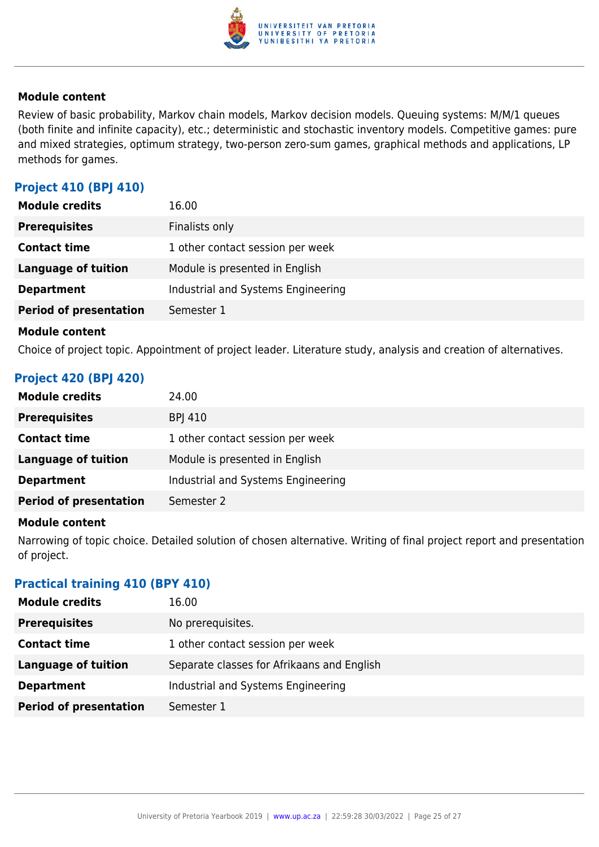

Review of basic probability, Markov chain models, Markov decision models. Queuing systems: M/M/1 queues (both finite and infinite capacity), etc.; deterministic and stochastic inventory models. Competitive games: pure and mixed strategies, optimum strategy, two-person zero-sum games, graphical methods and applications, LP methods for games.

## **Project 410 (BPJ 410)**

| <b>Module credits</b>         | 16.00                              |
|-------------------------------|------------------------------------|
| <b>Prerequisites</b>          | Finalists only                     |
| <b>Contact time</b>           | 1 other contact session per week   |
| Language of tuition           | Module is presented in English     |
| <b>Department</b>             | Industrial and Systems Engineering |
| <b>Period of presentation</b> | Semester 1                         |
|                               |                                    |

#### **Module content**

Choice of project topic. Appointment of project leader. Literature study, analysis and creation of alternatives.

## **Project 420 (BPJ 420)**

| <b>Module credits</b>         | 24.00                              |
|-------------------------------|------------------------------------|
| <b>Prerequisites</b>          | <b>BPI 410</b>                     |
| <b>Contact time</b>           | 1 other contact session per week   |
| Language of tuition           | Module is presented in English     |
| <b>Department</b>             | Industrial and Systems Engineering |
| <b>Period of presentation</b> | Semester 2                         |

#### **Module content**

Narrowing of topic choice. Detailed solution of chosen alternative. Writing of final project report and presentation of project.

#### **Practical training 410 (BPY 410)**

| <b>Module credits</b>         | 16.00                                      |
|-------------------------------|--------------------------------------------|
| <b>Prerequisites</b>          | No prerequisites.                          |
| <b>Contact time</b>           | 1 other contact session per week           |
| <b>Language of tuition</b>    | Separate classes for Afrikaans and English |
| <b>Department</b>             | Industrial and Systems Engineering         |
| <b>Period of presentation</b> | Semester 1                                 |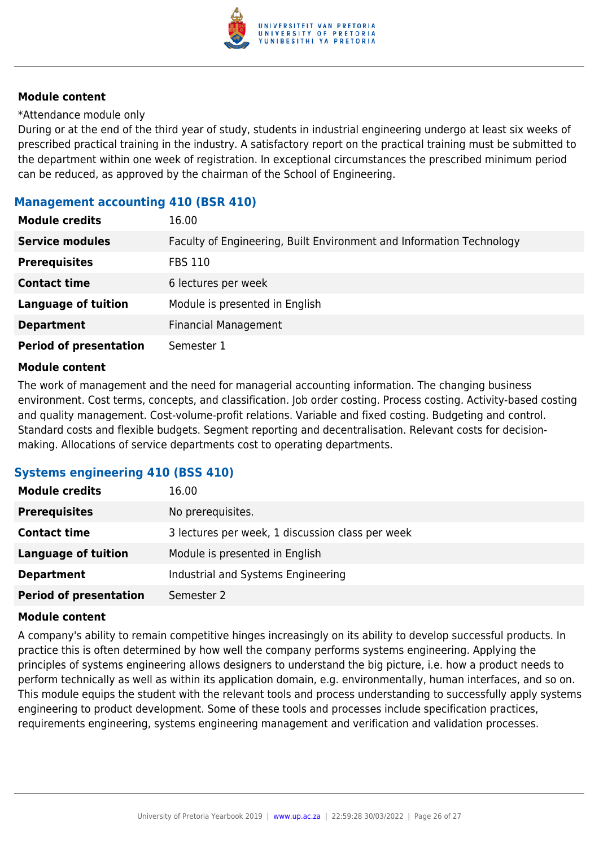

\*Attendance module only

During or at the end of the third year of study, students in industrial engineering undergo at least six weeks of prescribed practical training in the industry. A satisfactory report on the practical training must be submitted to the department within one week of registration. In exceptional circumstances the prescribed minimum period can be reduced, as approved by the chairman of the School of Engineering.

#### **Management accounting 410 (BSR 410)**

| <b>Module credits</b>         | 16.00                                                                |
|-------------------------------|----------------------------------------------------------------------|
| <b>Service modules</b>        | Faculty of Engineering, Built Environment and Information Technology |
| <b>Prerequisites</b>          | <b>FBS 110</b>                                                       |
| <b>Contact time</b>           | 6 lectures per week                                                  |
| <b>Language of tuition</b>    | Module is presented in English                                       |
| <b>Department</b>             | <b>Financial Management</b>                                          |
| <b>Period of presentation</b> | Semester 1                                                           |

#### **Module content**

The work of management and the need for managerial accounting information. The changing business environment. Cost terms, concepts, and classification. Job order costing. Process costing. Activity-based costing and quality management. Cost-volume-profit relations. Variable and fixed costing. Budgeting and control. Standard costs and flexible budgets. Segment reporting and decentralisation. Relevant costs for decisionmaking. Allocations of service departments cost to operating departments.

#### **Systems engineering 410 (BSS 410)**

| <b>Module credits</b>         | 16.00                                            |
|-------------------------------|--------------------------------------------------|
| <b>Prerequisites</b>          | No prerequisites.                                |
| <b>Contact time</b>           | 3 lectures per week, 1 discussion class per week |
| <b>Language of tuition</b>    | Module is presented in English                   |
| <b>Department</b>             | Industrial and Systems Engineering               |
| <b>Period of presentation</b> | Semester 2                                       |

#### **Module content**

A company's ability to remain competitive hinges increasingly on its ability to develop successful products. In practice this is often determined by how well the company performs systems engineering. Applying the principles of systems engineering allows designers to understand the big picture, i.e. how a product needs to perform technically as well as within its application domain, e.g. environmentally, human interfaces, and so on. This module equips the student with the relevant tools and process understanding to successfully apply systems engineering to product development. Some of these tools and processes include specification practices, requirements engineering, systems engineering management and verification and validation processes.